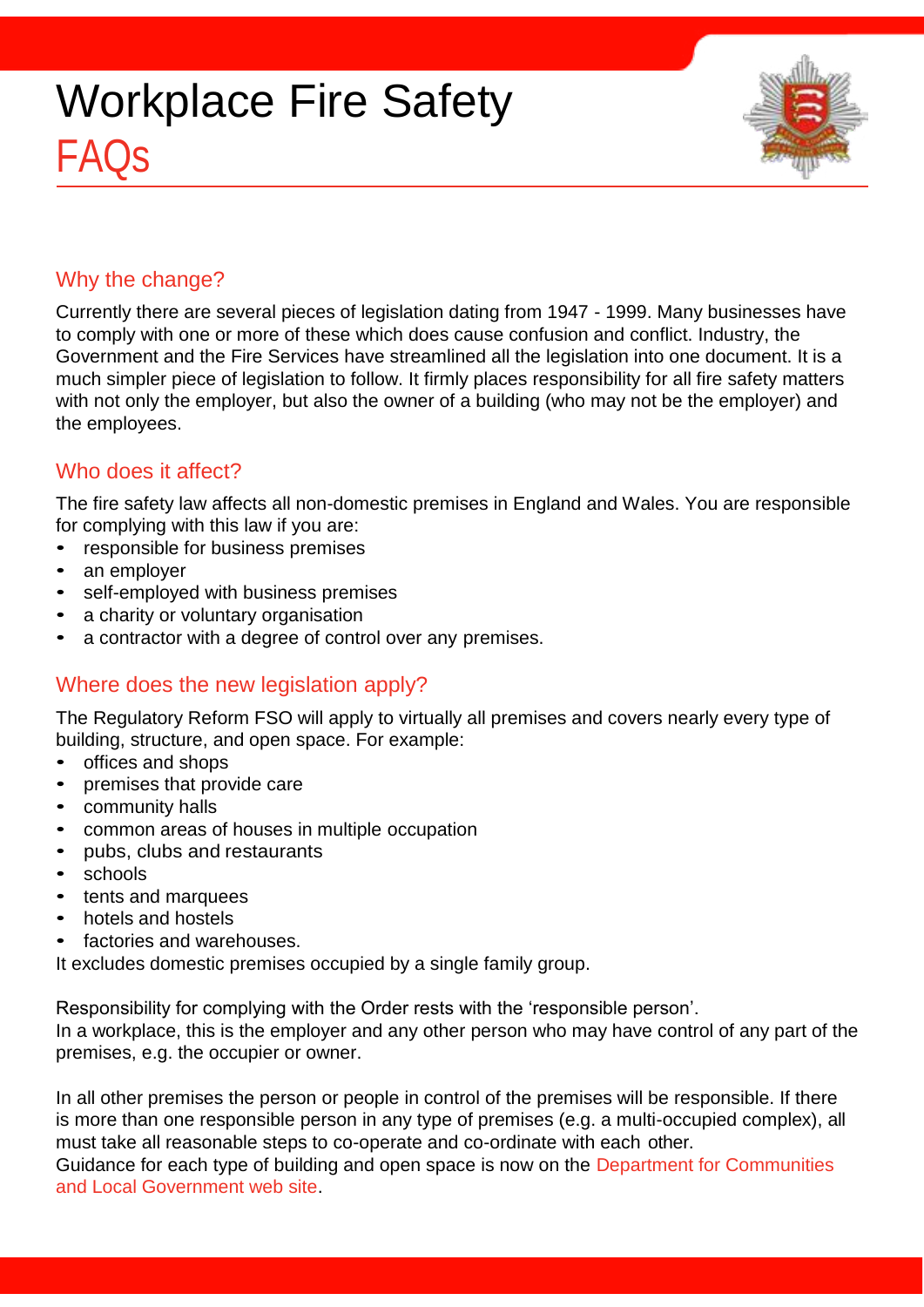

## Why the change?

Currently there are several pieces of legislation dating from 1947 - 1999. Many businesses have to comply with one or more of these which does cause confusion and conflict. Industry, the Government and the Fire Services have streamlined all the legislation into one document. It is a much simpler piece of legislation to follow. It firmly places responsibility for all fire safety matters with not only the employer, but also the owner of a building (who may not be the employer) and the employees.

## Who does it affect?

The fire safety law affects all non-domestic premises in England and Wales. You are responsible for complying with this law if you are:

- responsible for business premises
- an employer
- self-employed with business premises
- a charity or voluntary organisation
- a contractor with a degree of control over any premises.

## Where does the new legislation apply?

The Regulatory Reform FSO will apply to virtually all premises and covers nearly every type of building, structure, and open space. For example:

- offices and shops
- premises that provide care
- community halls
- common areas of houses in multiple occupation
- pubs, clubs and restaurants
- schools
- tents and marquees
- hotels and hostels
- factories and warehouses.

It excludes domestic premises occupied by a single family group.

Responsibility for complying with the Order rests with the 'responsible person'.

In a workplace, this is the employer and any other person who may have control of any part of the premises, e.g. the occupier or owner.

In all other premises the person or people in control of the premises will be responsible. If there is more than one responsible person in any type of premises (e.g. a multi-occupied complex), all must take all reasonable steps to co-operate and co-ordinate with each other.

Guidance for each type of building and open space is now on the [Department for Communities](http://www.communities.gov.uk/fire/firesafety/firesafetylaw/) [and Local Government web site.](http://www.communities.gov.uk/fire/firesafety/firesafetylaw/)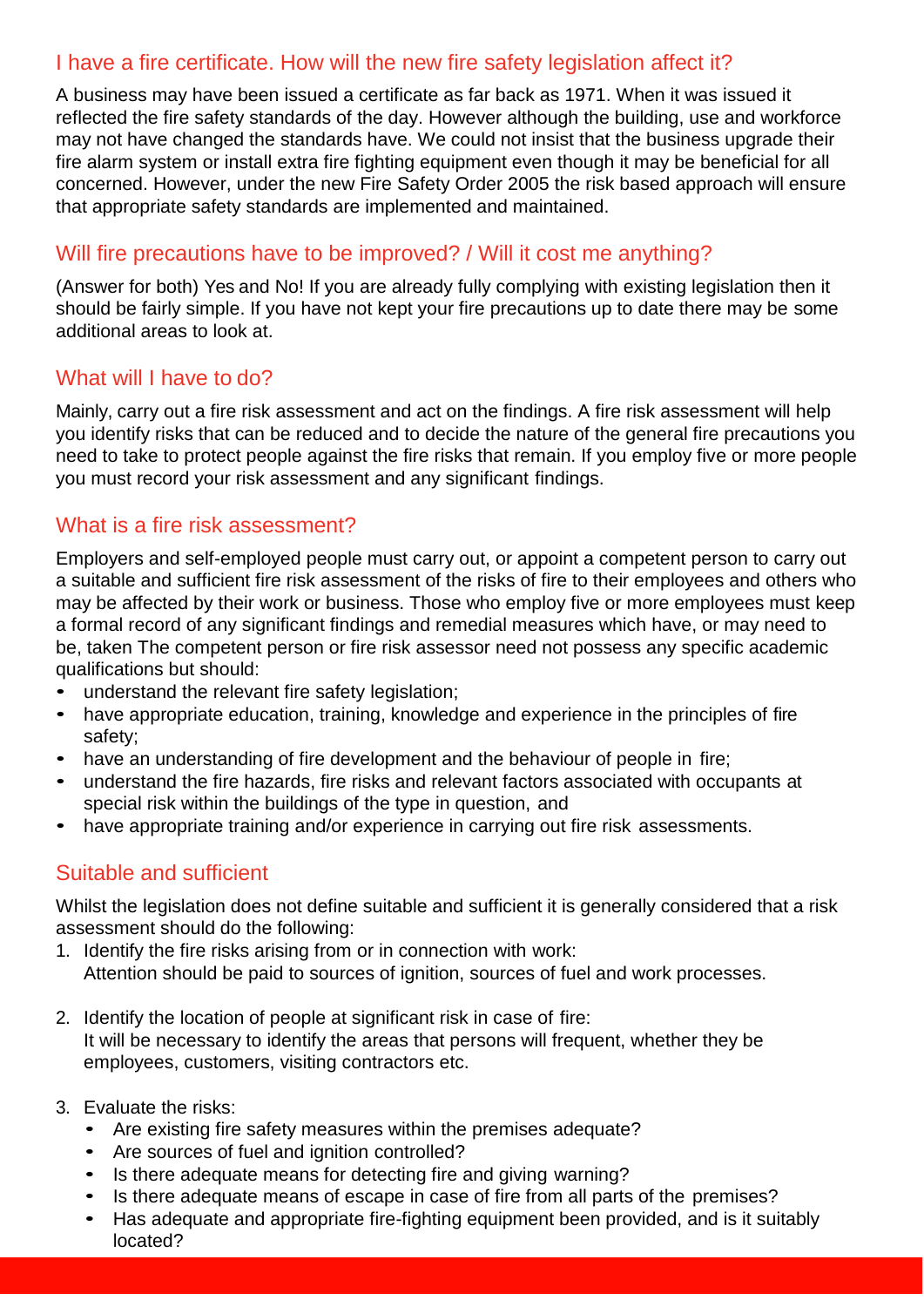## I have a fire certificate. How will the new fire safety legislation affect it?

A business may have been issued a certificate as far back as 1971. When it was issued it reflected the fire safety standards of the day. However although the building, use and workforce may not have changed the standards have. We could not insist that the business upgrade their fire alarm system or install extra fire fighting equipment even though it may be beneficial for all concerned. However, under the new Fire Safety Order 2005 the risk based approach will ensure that appropriate safety standards are implemented and maintained.

## Will fire precautions have to be improved? / Will it cost me anything?

(Answer for both) Yes and No! If you are already fully complying with existing legislation then it should be fairly simple. If you have not kept your fire precautions up to date there may be some additional areas to look at.

### What will I have to do?

Mainly, carry out a fire risk assessment and act on the findings. A fire risk assessment will help you identify risks that can be reduced and to decide the nature of the general fire precautions you need to take to protect people against the fire risks that remain. If you employ five or more people you must record your risk assessment and any significant findings.

### What is a fire risk assessment?

Employers and self-employed people must carry out, or appoint a competent person to carry out a suitable and sufficient fire risk assessment of the risks of fire to their employees and others who may be affected by their work or business. Those who employ five or more employees must keep a formal record of any significant findings and remedial measures which have, or may need to be, taken The competent person or fire risk assessor need not possess any specific academic qualifications but should:

- understand the relevant fire safety legislation;
- have appropriate education, training, knowledge and experience in the principles of fire safety;
- have an understanding of fire development and the behaviour of people in fire;
- understand the fire hazards, fire risks and relevant factors associated with occupants at special risk within the buildings of the type in question, and
- have appropriate training and/or experience in carrying out fire risk assessments.

## Suitable and sufficient

Whilst the legislation does not define suitable and sufficient it is generally considered that a risk assessment should do the following:

- 1. Identify the fire risks arising from or in connection with work: Attention should be paid to sources of ignition, sources of fuel and work processes.
- 2. Identify the location of people at significant risk in case of fire: It will be necessary to identify the areas that persons will frequent, whether they be employees, customers, visiting contractors etc.
- 3. Evaluate the risks:
	- Are existing fire safety measures within the premises adequate?
	- Are sources of fuel and ignition controlled?
	- Is there adequate means for detecting fire and giving warning?
	- Is there adequate means of escape in case of fire from all parts of the premises?
	- Has adequate and appropriate fire-fighting equipment been provided, and is it suitably located?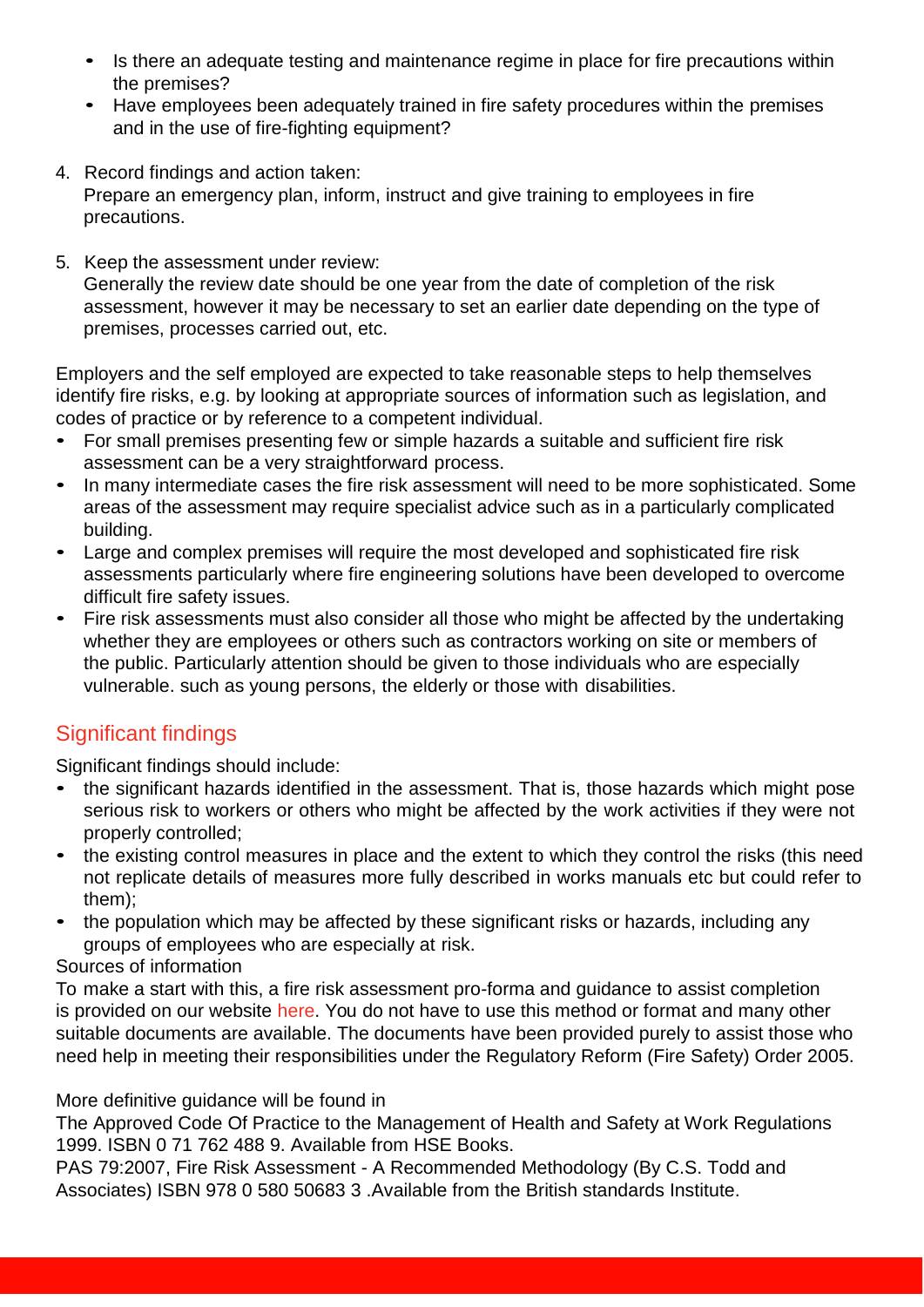- Is there an adequate testing and maintenance regime in place for fire precautions within the premises?
- Have employees been adequately trained in fire safety procedures within the premises and in the use of fire-fighting equipment?
- 4. Record findings and action taken: Prepare an emergency plan, inform, instruct and give training to employees in fire precautions.
- 5. Keep the assessment under review: Generally the review date should be one year from the date of completion of the risk assessment, however it may be necessary to set an earlier date depending on the type of premises, processes carried out, etc.

Employers and the self employed are expected to take reasonable steps to help themselves identify fire risks, e.g. by looking at appropriate sources of information such as legislation, and codes of practice or by reference to a competent individual.

- For small premises presenting few or simple hazards a suitable and sufficient fire risk assessment can be a very straightforward process.
- In many intermediate cases the fire risk assessment will need to be more sophisticated. Some areas of the assessment may require specialist advice such as in a particularly complicated building.
- Large and complex premises will require the most developed and sophisticated fire risk assessments particularly where fire engineering solutions have been developed to overcome difficult fire safety issues.
- Fire risk assessments must also consider all those who might be affected by the undertaking whether they are employees or others such as contractors working on site or members of the public. Particularly attention should be given to those individuals who are especially vulnerable. such as young persons, the elderly or those with disabilities.

# Significant findings

Significant findings should include:

- the significant hazards identified in the assessment. That is, those hazards which might pose serious risk to workers or others who might be affected by the work activities if they were not properly controlled;
- the existing control measures in place and the extent to which they control the risks (this need not replicate details of measures more fully described in works manuals etc but could refer to them);
- the population which may be affected by these significant risks or hazards, including any groups of employees who are especially at risk.

Sources of information

To make a start with this, a fire risk assessment pro-forma and guidance to assist completion is provided on our website [here.](http://www.essex-fire.gov.uk/Business_Safety/Fire_Risk_Assessment/) You do not have to use this method or format and many other suitable documents are available. The documents have been provided purely to assist those who need help in meeting their responsibilities under the Regulatory Reform (Fire Safety) Order 2005.

### More definitive guidance will be found in

The Approved Code Of Practice to the Management of Health and Safety at Work Regulations 1999. ISBN 0 71 762 488 9. Available from HSE Books.

PAS 79:2007, Fire Risk Assessment - A Recommended Methodology (By C.S. Todd and Associates) ISBN 978 0 580 50683 3 .Available from the British standards Institute.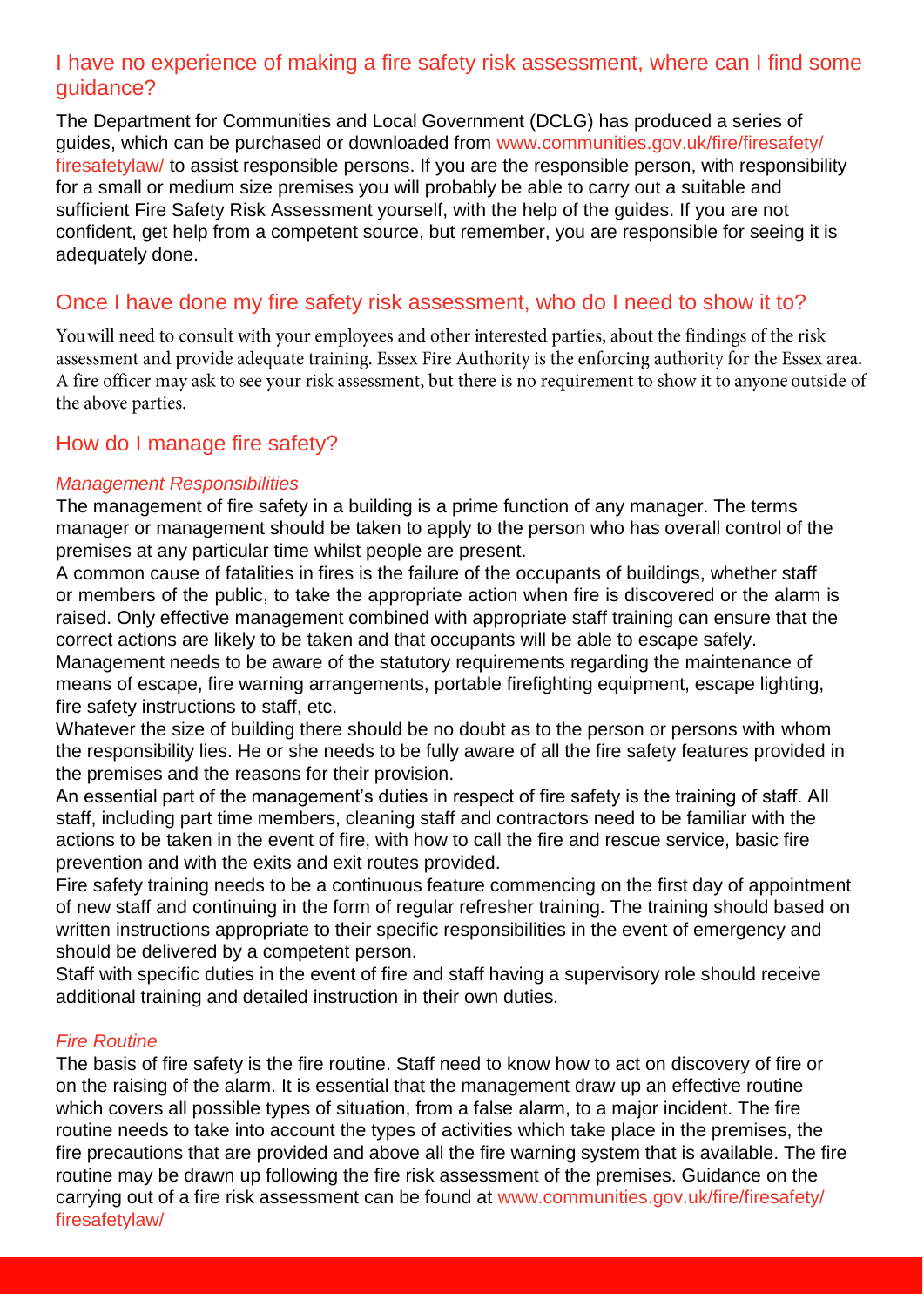### I have no experience of making a fire safety risk assessment, where can I find some guidance?

The Department for Communities and Local Government (DCLG) has produced a series of guides, which can be purchased or downloaded from [www.communities.gov.uk/fire/firesafety/](http://www.communities.gov.uk/fire/firesafety/firesafetylaw/) [firesafetylaw/ t](http://www.communities.gov.uk/fire/firesafety/firesafetylaw/)o assist responsible persons. If you are the responsible person, with responsibility for a small or medium size premises you will probably be able to carry out a suitable and sufficient Fire Safety Risk Assessment yourself, with the help of the guides. If you are not confident, get help from a competent source, but remember, you are responsible for seeing it is adequately done.

## Once I have done my fire safety risk assessment, who do I need to show it to?

You will need to consult with your employees and other interested parties, about the findings of the risk assessment and provide adequate training. Essex Fire Authority is the enforcing authority for the Essex area. A fire officer may ask to see your risk assessment, but there is no requirement to show it to anyone outside of the above parties.

## How do I manage fire safety?

### *Management Responsibilities*

The management of fire safety in a building is a prime function of any manager. The terms manager or management should be taken to apply to the person who has overall control of the premises at any particular time whilst people are present.

A common cause of fatalities in fires is the failure of the occupants of buildings, whether staff or members of the public, to take the appropriate action when fire is discovered or the alarm is raised. Only effective management combined with appropriate staff training can ensure that the correct actions are likely to be taken and that occupants will be able to escape safely.

Management needs to be aware of the statutory requirements regarding the maintenance of means of escape, fire warning arrangements, portable firefighting equipment, escape lighting, fire safety instructions to staff, etc.

Whatever the size of building there should be no doubt as to the person or persons with whom the responsibility lies. He or she needs to be fully aware of all the fire safety features provided in the premises and the reasons for their provision.

An essential part of the management's duties in respect of fire safety is the training of staff. All staff, including part time members, cleaning staff and contractors need to be familiar with the actions to be taken in the event of fire, with how to call the fire and rescue service, basic fire prevention and with the exits and exit routes provided.

Fire safety training needs to be a continuous feature commencing on the first day of appointment of new staff and continuing in the form of regular refresher training. The training should based on written instructions appropriate to their specific responsibilities in the event of emergency and should be delivered by a competent person.

Staff with specific duties in the event of fire and staff having a supervisory role should receive additional training and detailed instruction in their own duties.

#### *Fire Routine*

The basis of fire safety is the fire routine. Staff need to know how to act on discovery of fire or on the raising of the alarm. It is essential that the management draw up an effective routine which covers all possible types of situation, from a false alarm, to a major incident. The fire routine needs to take into account the types of activities which take place in the premises, the fire precautions that are provided and above all the fire warning system that is available. The fire routine may be drawn up following the fire risk assessment of the premises. Guidance on the carrying out of a fire risk assessment can be found at [www.communities.gov.uk/fire/firesafety/](http://www.communities.gov.uk/fire/firesafety/firesafetylaw/) [firesafetylaw/](http://www.communities.gov.uk/fire/firesafety/firesafetylaw/)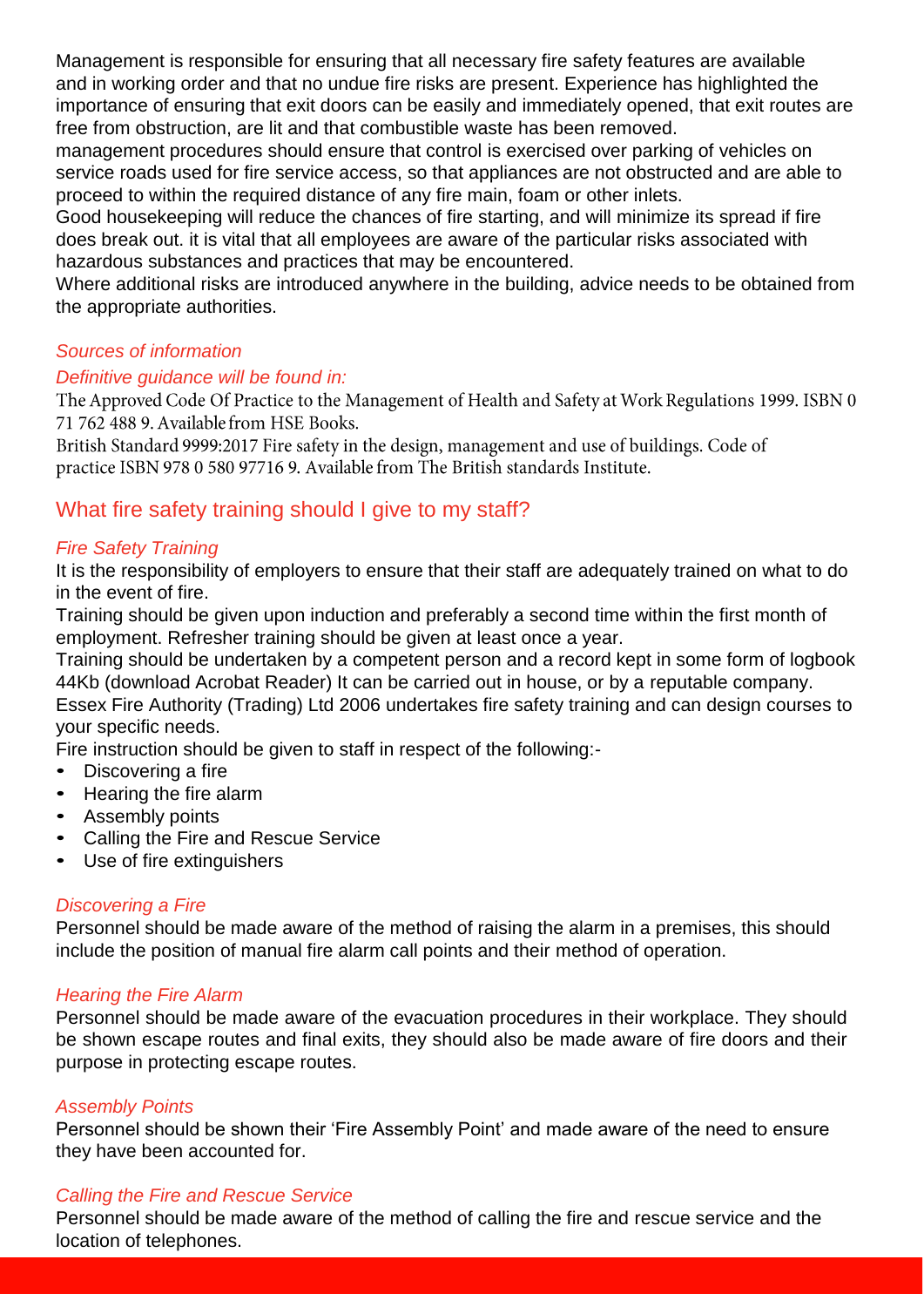Management is responsible for ensuring that all necessary fire safety features are available and in working order and that no undue fire risks are present. Experience has highlighted the importance of ensuring that exit doors can be easily and immediately opened, that exit routes are free from obstruction, are lit and that combustible waste has been removed.

management procedures should ensure that control is exercised over parking of vehicles on service roads used for fire service access, so that appliances are not obstructed and are able to proceed to within the required distance of any fire main, foam or other inlets.

Good housekeeping will reduce the chances of fire starting, and will minimize its spread if fire does break out. it is vital that all employees are aware of the particular risks associated with hazardous substances and practices that may be encountered.

Where additional risks are introduced anywhere in the building, advice needs to be obtained from the appropriate authorities.

### *Sources of information*

### *Definitive guidance will be found in:*

The Approved Code Of Practice to the Management of Health and Safety at Work Regulations 1999. ISBN 0 71 762 488 9. Available from HSE Books.

British Standard 9999:2017 Fire safety in the design, management and use of buildings. Code of practice ISBN 978 0 580 97716 9. Available from The British standards Institute.

### What fire safety training should I give to my staff?

### *Fire Safety Training*

It is the responsibility of employers to ensure that their staff are adequately trained on what to do in the event of fire.

Training should be given upon induction and preferably a second time within the first month of employment. Refresher training should be given at least once a year.

Training should be undertaken by a competent person and a record kept in some form of logbook 44Kb (download Acrobat Reader) It can be carried out in house, or by a reputable company.

Essex Fire Authority (Trading) Ltd 2006 undertakes fire safety training and can design courses to your specific needs.

Fire instruction should be given to staff in respect of the following:-

- Discovering a fire
- Hearing the fire alarm
- Assembly points
- Calling the Fire and Rescue Service
- Use of fire extinguishers

#### *Discovering a Fire*

Personnel should be made aware of the method of raising the alarm in a premises, this should include the position of manual fire alarm call points and their method of operation.

### *Hearing the Fire Alarm*

Personnel should be made aware of the evacuation procedures in their workplace. They should be shown escape routes and final exits, they should also be made aware of fire doors and their purpose in protecting escape routes.

### *Assembly Points*

Personnel should be shown their 'Fire Assembly Point' and made aware of the need to ensure they have been accounted for.

### *Calling the Fire and Rescue Service*

Personnel should be made aware of the method of calling the fire and rescue service and the location of telephones.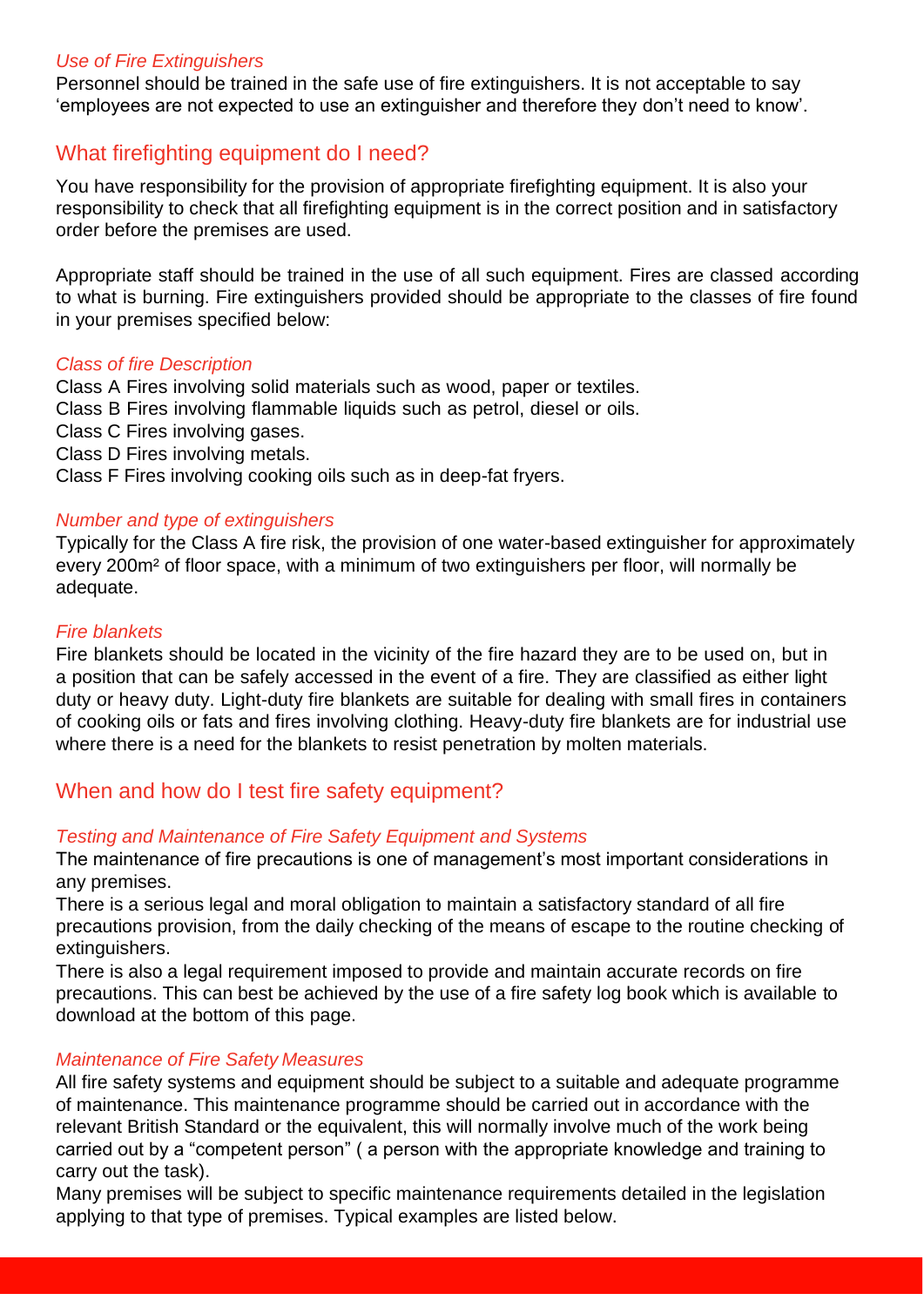#### *Use of Fire Extinguishers*

Personnel should be trained in the safe use of fire extinguishers. It is not acceptable to say 'employees are not expected to use an extinguisher and therefore they don't need to know'.

## What firefighting equipment do I need?

You have responsibility for the provision of appropriate firefighting equipment. It is also your responsibility to check that all firefighting equipment is in the correct position and in satisfactory order before the premises are used.

Appropriate staff should be trained in the use of all such equipment. Fires are classed according to what is burning. Fire extinguishers provided should be appropriate to the classes of fire found in your premises specified below:

#### *Class of fire Description*

Class A Fires involving solid materials such as wood, paper or textiles.

Class B Fires involving flammable liquids such as petrol, diesel or oils.

- Class C Fires involving gases.
- Class D Fires involving metals.
- Class F Fires involving cooking oils such as in deep-fat fryers.

#### *Number and type of extinguishers*

Typically for the Class A fire risk, the provision of one water-based extinguisher for approximately every 200m² of floor space, with a minimum of two extinguishers per floor, will normally be adequate.

#### *Fire blankets*

Fire blankets should be located in the vicinity of the fire hazard they are to be used on, but in a position that can be safely accessed in the event of a fire. They are classified as either light duty or heavy duty. Light-duty fire blankets are suitable for dealing with small fires in containers of cooking oils or fats and fires involving clothing. Heavy-duty fire blankets are for industrial use where there is a need for the blankets to resist penetration by molten materials.

### When and how do I test fire safety equipment?

#### *Testing and Maintenance of Fire Safety Equipment and Systems*

The maintenance of fire precautions is one of management's most important considerations in any premises.

There is a serious legal and moral obligation to maintain a satisfactory standard of all fire precautions provision, from the daily checking of the means of escape to the routine checking of extinguishers.

There is also a legal requirement imposed to provide and maintain accurate records on fire precautions. This can best be achieved by the use of a fire safety log book which is available to download at the bottom of this page.

#### *Maintenance of Fire Safety Measures*

All fire safety systems and equipment should be subject to a suitable and adequate programme of maintenance. This maintenance programme should be carried out in accordance with the relevant British Standard or the equivalent, this will normally involve much of the work being carried out by a "competent person" ( a person with the appropriate knowledge and training to carry out the task).

Many premises will be subject to specific maintenance requirements detailed in the legislation applying to that type of premises. Typical examples are listed below.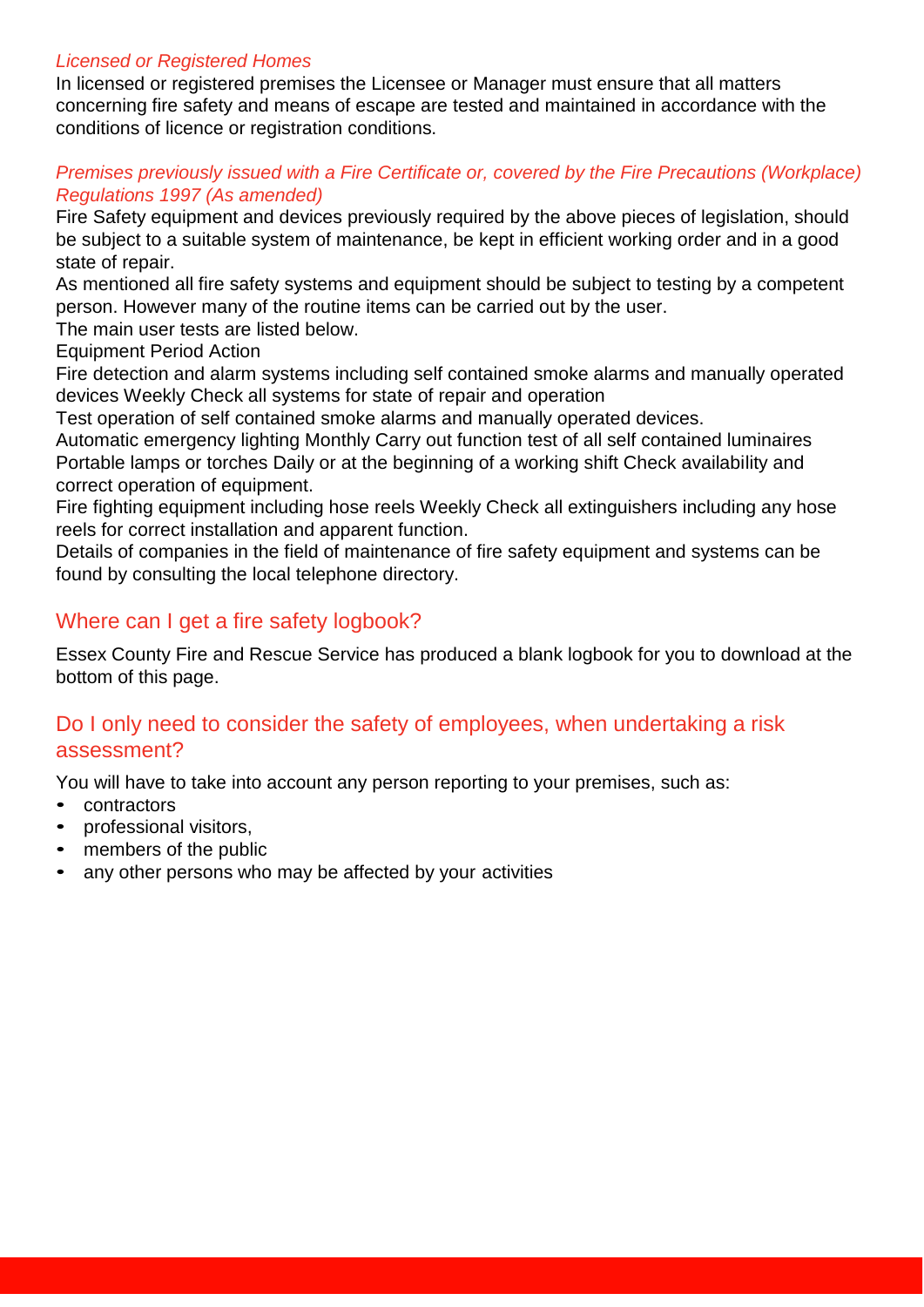### *Licensed or Registered Homes*

In licensed or registered premises the Licensee or Manager must ensure that all matters concerning fire safety and means of escape are tested and maintained in accordance with the conditions of licence or registration conditions.

### *Premises previously issued with a Fire Certificate or, covered by the Fire Precautions (Workplace) Regulations 1997 (As amended)*

Fire Safety equipment and devices previously required by the above pieces of legislation, should be subject to a suitable system of maintenance, be kept in efficient working order and in a good state of repair.

As mentioned all fire safety systems and equipment should be subject to testing by a competent person. However many of the routine items can be carried out by the user.

The main user tests are listed below.

Equipment Period Action

Fire detection and alarm systems including self contained smoke alarms and manually operated devices Weekly Check all systems for state of repair and operation

Test operation of self contained smoke alarms and manually operated devices.

Automatic emergency lighting Monthly Carry out function test of all self contained luminaires Portable lamps or torches Daily or at the beginning of a working shift Check availability and correct operation of equipment.

Fire fighting equipment including hose reels Weekly Check all extinguishers including any hose reels for correct installation and apparent function.

Details of companies in the field of maintenance of fire safety equipment and systems can be found by consulting the local telephone directory.

### Where can I get a fire safety logbook?

Essex County Fire and Rescue Service has produced a blank logbook for you to download at the bottom of this page.

## Do I only need to consider the safety of employees, when undertaking a risk assessment?

You will have to take into account any person reporting to your premises, such as:

- contractors
- professional visitors,
- members of the public
- any other persons who may be affected by your activities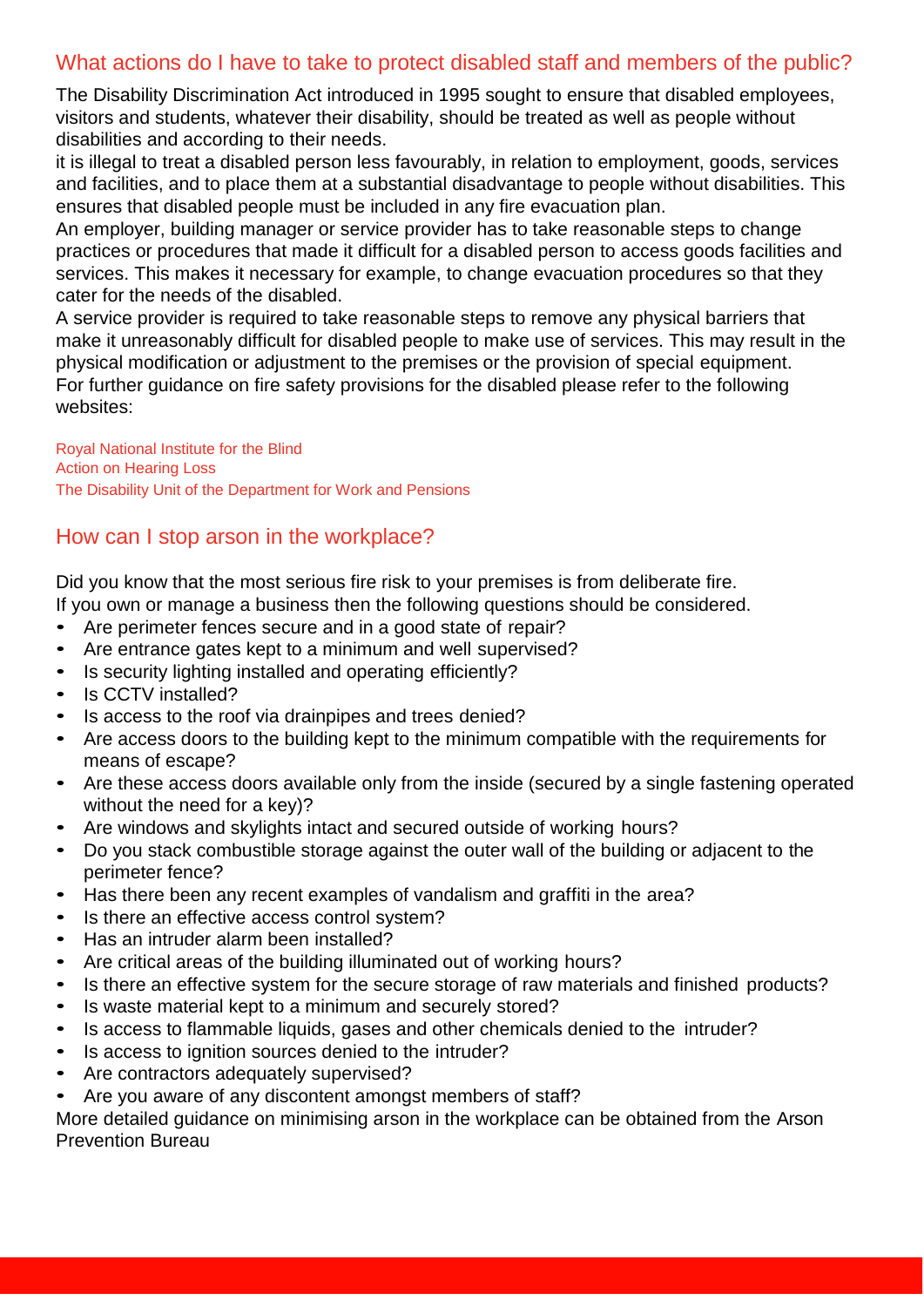## What actions do I have to take to protect disabled staff and members of the public?

The Disability Discrimination Act introduced in 1995 sought to ensure that disabled employees, visitors and students, whatever their disability, should be treated as well as people without disabilities and according to their needs.

it is illegal to treat a disabled person less favourably, in relation to employment, goods, services and facilities, and to place them at a substantial disadvantage to people without disabilities. This ensures that disabled people must be included in any fire evacuation plan.

An employer, building manager or service provider has to take reasonable steps to change practices or procedures that made it difficult for a disabled person to access goods facilities and services. This makes it necessary for example, to change evacuation procedures so that they cater for the needs of the disabled.

A service provider is required to take reasonable steps to remove any physical barriers that make it unreasonably difficult for disabled people to make use of services. This may result in the physical modification or adjustment to the premises or the provision of special equipment. For further guidance on fire safety provisions for the disabled please refer to the following websites:

[Royal National Institute for the Blind](http://www.rnib.org.uk/) [Action on Hearing Loss](http://www.actiononhearingloss.org.uk/) [The Disability Unit of the Department for Work and Pensions](http://www.dwp.gov.uk/)

## How can I stop arson in the workplace?

Did you know that the most serious fire risk to your premises is from deliberate fire.

If you own or manage a business then the following questions should be considered.

- Are perimeter fences secure and in a good state of repair?
- Are entrance gates kept to a minimum and well supervised?
- Is security lighting installed and operating efficiently?
- Is CCTV installed?
- Is access to the roof via drainpipes and trees denied?
- Are access doors to the building kept to the minimum compatible with the requirements for means of escape?
- Are these access doors available only from the inside (secured by a single fastening operated without the need for a key)?
- Are windows and skylights intact and secured outside of working hours?
- Do you stack combustible storage against the outer wall of the building or adjacent to the perimeter fence?
- Has there been any recent examples of vandalism and graffiti in the area?
- Is there an effective access control system?
- Has an intruder alarm been installed?
- Are critical areas of the building illuminated out of working hours?
- Is there an effective system for the secure storage of raw materials and finished products?
- Is waste material kept to a minimum and securely stored?
- Is access to flammable liquids, gases and other chemicals denied to the intruder?
- Is access to ignition sources denied to the intruder?
- Are contractors adequately supervised?
- Are you aware of any discontent amongst members of staff?

More detailed guidance on minimising arson in the workplace can be obtained from the Arson Prevention Bureau